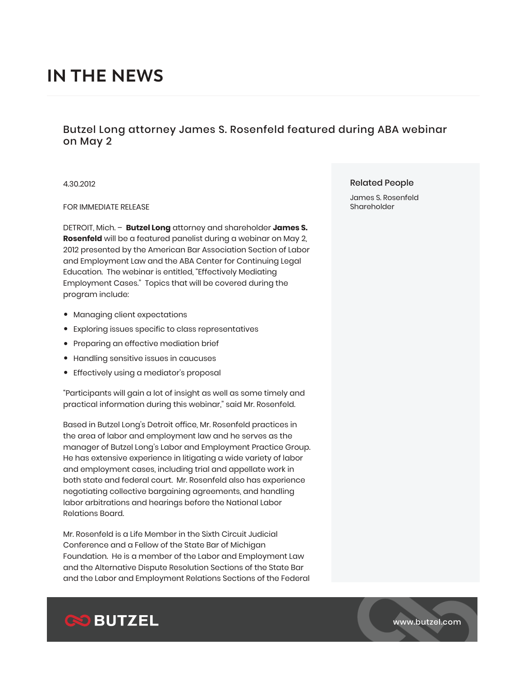# **IN THE NEWS**

# Butzel Long attorney James S. Rosenfeld featured during ABA webinar on May 2

4.30.2012

### FOR IMMEDIATE RELEASE

DETROIT, Mich. – **Butzel Long** attorney and shareholder **James S. Rosenfeld** will be a featured panelist during a webinar on May 2, 2012 presented by the American Bar Association Section of Labor and Employment Law and the ABA Center for Continuing Legal Education. The webinar is entitled, "Effectively Mediating Employment Cases." Topics that will be covered during the program include:

- Managing client expectations
- Exploring issues specific to class representatives
- Preparing an effective mediation brief
- Handling sensitive issues in caucuses
- Effectively using a mediator's proposal

"Participants will gain a lot of insight as well as some timely and practical information during this webinar," said Mr. Rosenfeld.

Based in Butzel Long's Detroit office, Mr. Rosenfeld practices in the area of labor and employment law and he serves as the manager of Butzel Long's Labor and Employment Practice Group. He has extensive experience in litigating a wide variety of labor and employment cases, including trial and appellate work in both state and federal court. Mr. Rosenfeld also has experience negotiating collective bargaining agreements, and handling labor arbitrations and hearings before the National Labor Relations Board.

Mr. Rosenfeld is a Life Member in the Sixth Circuit Judicial Conference and a Fellow of the State Bar of Michigan Foundation. He is a member of the Labor and Employment Law and the Alternative Dispute Resolution Sections of the State Bar and the Labor and Employment Relations Sections of the Federal

## Related People

James S. Rosenfeld Shareholder